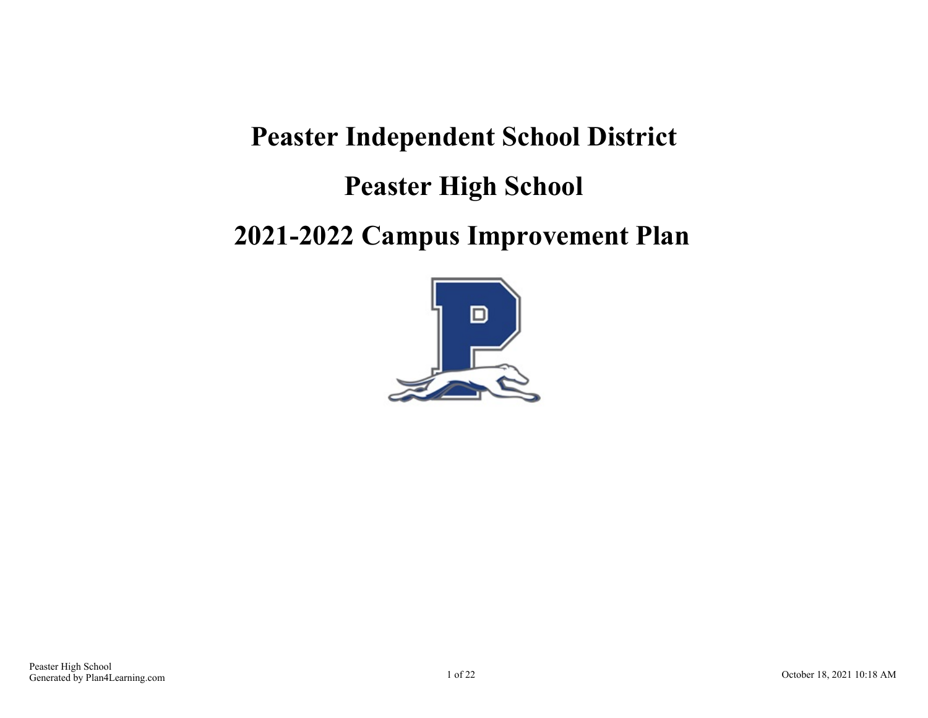## **Peaster Independent School District**

### **Peaster High School**

### **2021-2022 Campus Improvement Plan**

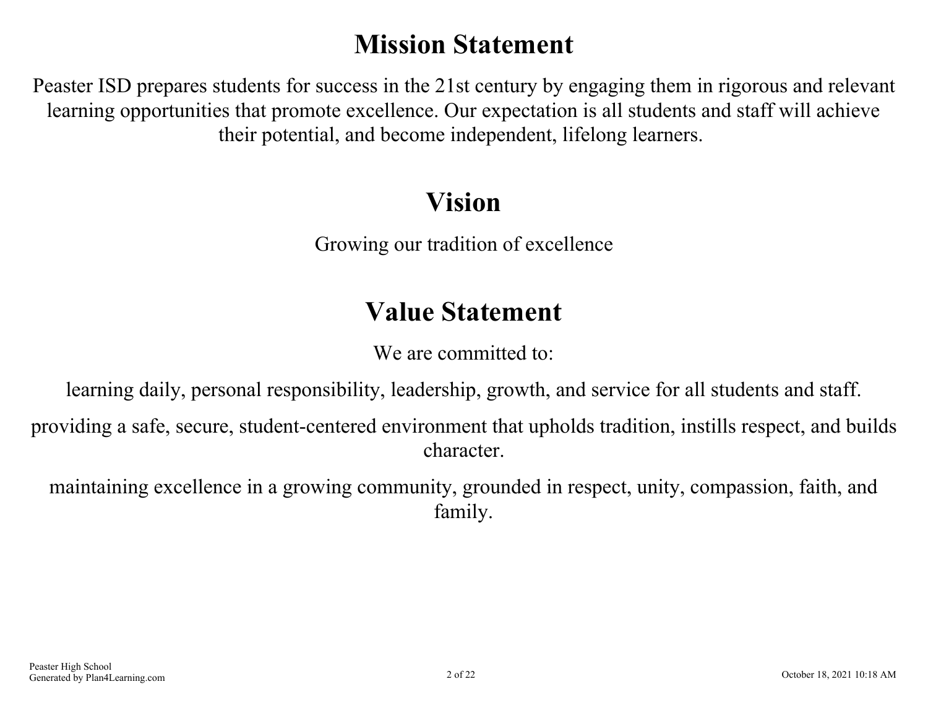# **Mission Statement**

Peaster ISD prepares students for success in the 21st century by engaging them in rigorous and relevant learning opportunities that promote excellence. Our expectation is all students and staff will achieve their potential, and become independent, lifelong learners.

## **Vision**

Growing our tradition of excellence

# **Value Statement**

We are committed to:

learning daily, personal responsibility, leadership, growth, and service for all students and staff.

providing a safe, secure, student-centered environment that upholds tradition, instills respect, and builds character.

maintaining excellence in a growing community, grounded in respect, unity, compassion, faith, and family.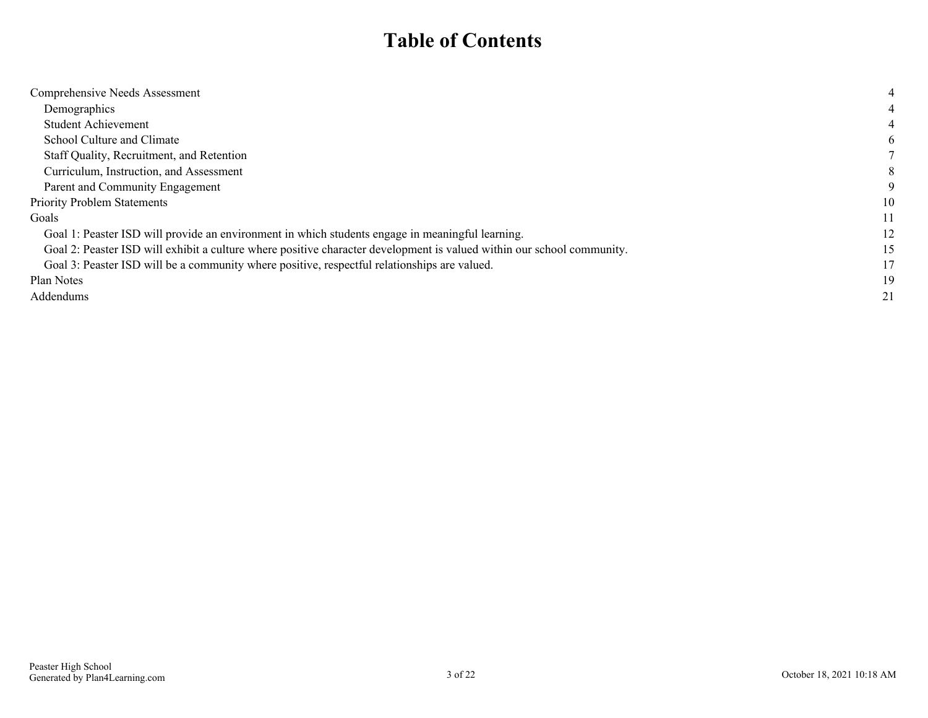### **Table of Contents**

| Comprehensive Needs Assessment                                                                                         |    |
|------------------------------------------------------------------------------------------------------------------------|----|
| Demographics                                                                                                           |    |
| Student Achievement                                                                                                    |    |
| School Culture and Climate                                                                                             | h. |
| Staff Quality, Recruitment, and Retention                                                                              |    |
| Curriculum, Instruction, and Assessment                                                                                |    |
| Parent and Community Engagement                                                                                        |    |
| <b>Priority Problem Statements</b>                                                                                     | 10 |
| Goals                                                                                                                  | 11 |
| Goal 1: Peaster ISD will provide an environment in which students engage in meaningful learning.                       | 12 |
| Goal 2: Peaster ISD will exhibit a culture where positive character development is valued within our school community. | 15 |
| Goal 3: Peaster ISD will be a community where positive, respectful relationships are valued.                           | 17 |
| Plan Notes                                                                                                             | 19 |
| Addendums                                                                                                              | 21 |
|                                                                                                                        |    |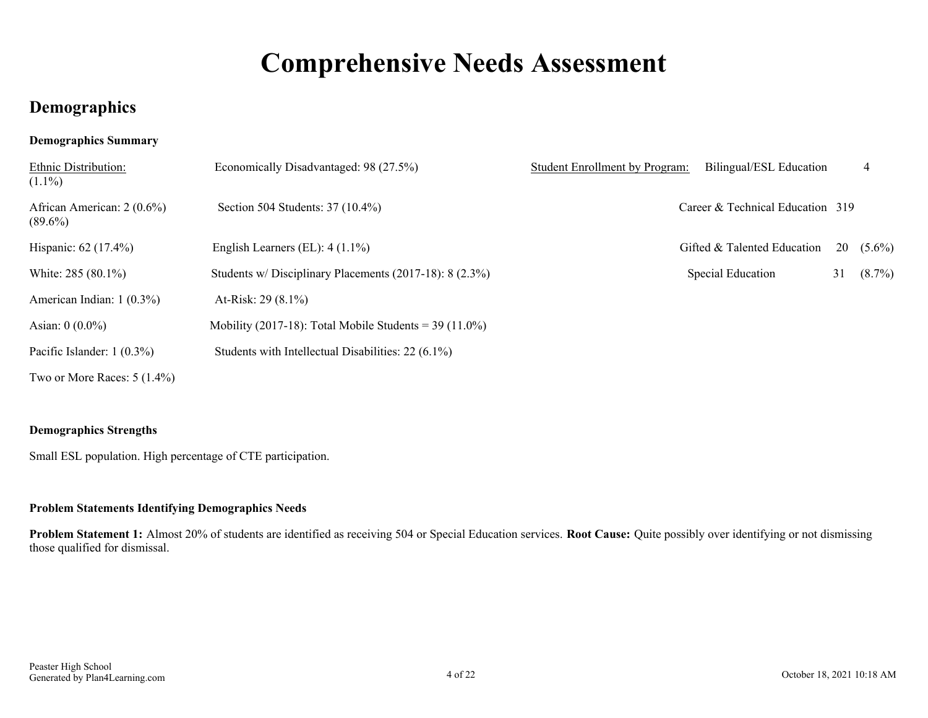# **Comprehensive Needs Assessment**

### <span id="page-3-0"></span>**Demographics**

#### **Demographics Summary**

| Ethnic Distribution:<br>$(1.1\%)$        | Economically Disadvantaged: 98 (27.5%)                   | Student Enrollment by Program: | Bilingual/ESL Education          |    | 4           |
|------------------------------------------|----------------------------------------------------------|--------------------------------|----------------------------------|----|-------------|
| African American: 2 (0.6%)<br>$(89.6\%)$ | Section 504 Students: 37 (10.4%)                         |                                | Career & Technical Education 319 |    |             |
| Hispanic: 62 (17.4%)                     | English Learners (EL): $4(1.1\%)$                        |                                | Gifted & Talented Education      |    | $20(5.6\%)$ |
| White: 285 (80.1%)                       | Students w/ Disciplinary Placements (2017-18): 8 (2.3%)  |                                | <b>Special Education</b>         | 31 | $(8.7\%)$   |
| American Indian: 1 (0.3%)                | At-Risk: $29(8.1\%)$                                     |                                |                                  |    |             |
| Asian: $0(0.0\%)$                        | Mobility (2017-18): Total Mobile Students = $39(11.0\%)$ |                                |                                  |    |             |
| Pacific Islander: $1(0.3\%)$             | Students with Intellectual Disabilities: 22 (6.1%)       |                                |                                  |    |             |
| Two or More Races: $5(1.4\%)$            |                                                          |                                |                                  |    |             |

#### **Demographics Strengths**

Small ESL population. High percentage of CTE participation.

#### **Problem Statements Identifying Demographics Needs**

**Problem Statement 1:** Almost 20% of students are identified as receiving 504 or Special Education services. **Root Cause:** Quite possibly over identifying or not dismissing those qualified for dismissal.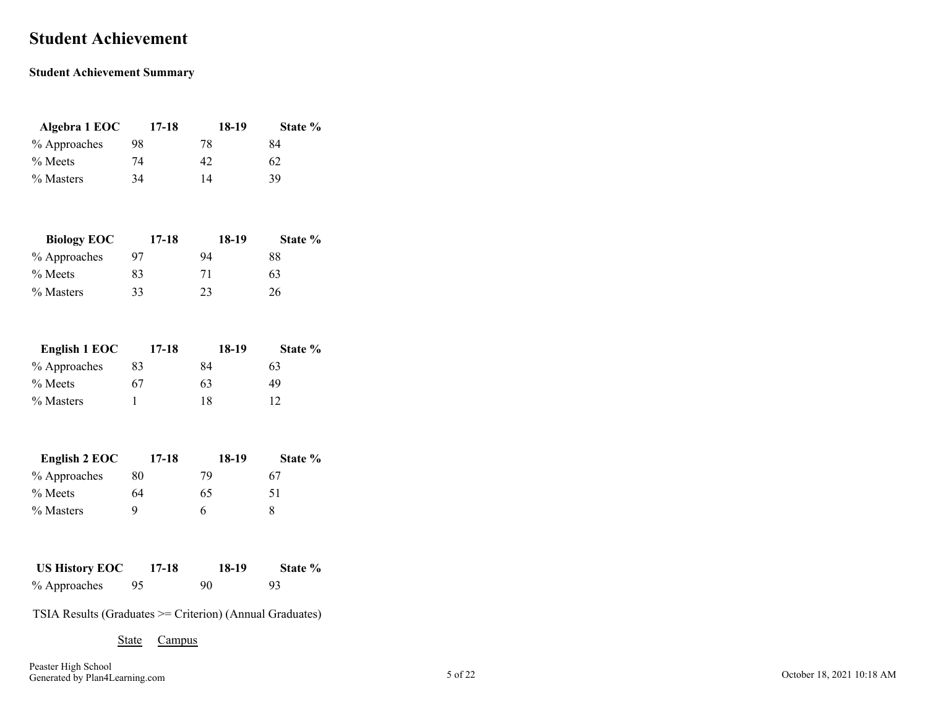### <span id="page-4-0"></span>**Student Achievement**

#### **Student Achievement Summary**

| Algebra 1 EOC | 17-18 | 18-19 | State % |
|---------------|-------|-------|---------|
| % Approaches  | 98    | 78    | 84      |
| $%$ Meets     | 74    | 42    | 62      |
| % Masters     | 34    | 14    | 39      |

| <b>Biology EOC</b> | 17-18 | 18-19 | State % |
|--------------------|-------|-------|---------|
| % Approaches       | 97    | 94    | 88      |
| $\%$ Meets         | 83    | 71    | 63      |
| % Masters          | 33    | 23    | 26      |

| English 1 EOC | 17-18 | 18-19 | State % |
|---------------|-------|-------|---------|
| % Approaches  | 83    | 84    | 63      |
| $%$ Meets     | 67    | 63    | 49      |
| % Masters     |       | 18    | 12      |

| English 2 EOC | 17-18 | 18-19 | State % |
|---------------|-------|-------|---------|
| % Approaches  | 80    | 79    | 67      |
| $%$ Meets     | 64    | 65    | 51      |
| % Masters     | Q     | h     |         |

| <b>US History EOC</b> | 17-18 | 18-19 | State % |
|-----------------------|-------|-------|---------|
| % Approaches          | 95    | 90    | -93     |

TSIA Results (Graduates >= Criterion) (Annual Graduates)

State Campus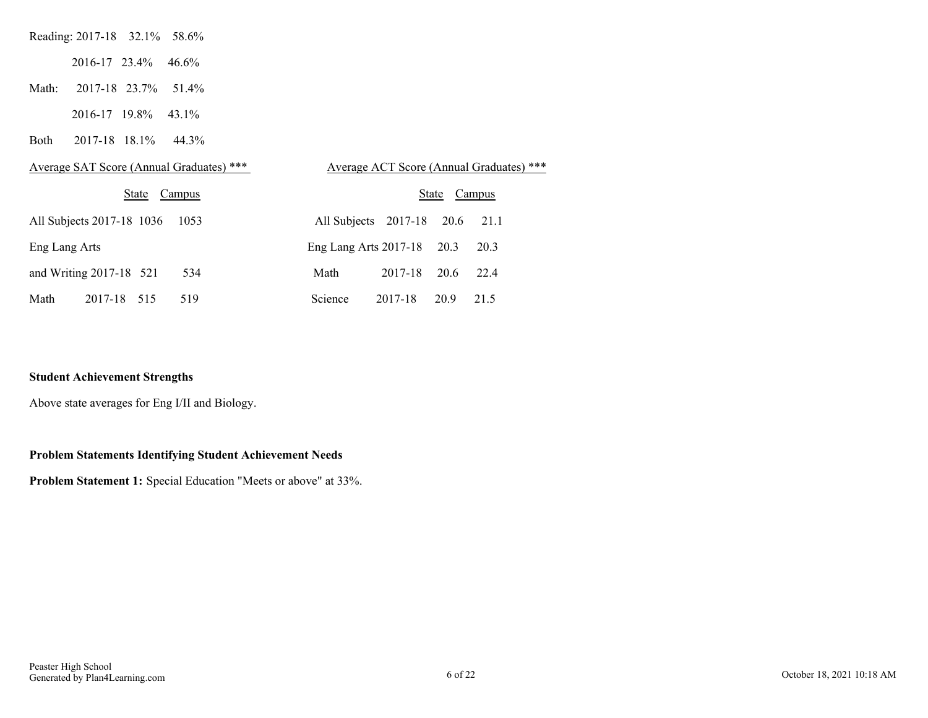| Reading: 2017-18 32.1% 58.6%  |  |  |
|-------------------------------|--|--|
| $2016 - 17$ $23.4\%$ $46.6\%$ |  |  |
| Math: 2017-18 23.7% 51.4%     |  |  |

2016-17 19.8% 43.1%

Both 2017-18 18.1% 44.3%

| Average SAT Score (Annual Graduates) *** | Average ACT Score (Annual Graduates) *** |
|------------------------------------------|------------------------------------------|
| State                                    | State                                    |
| Campus                                   | Campus                                   |
| All Subjects 2017-18 1036                | All Subjects 2017-18 20.6                |
| 1053                                     | 21.1                                     |
| Eng Lang Arts                            | Eng Lang Arts 2017-18 20.3<br>20.3       |
| and Writing 2017-18 521<br>534           | 20.6<br>Math<br>2017-18<br>22.4          |
| Math                                     | Science                                  |
| 2017-18                                  | 20.9                                     |
| 515                                      | 2017-18                                  |
| 519                                      | 21.5                                     |

#### **Student Achievement Strengths**

Above state averages for Eng I/II and Biology.

#### **Problem Statements Identifying Student Achievement Needs**

**Problem Statement 1:** Special Education "Meets or above" at 33%.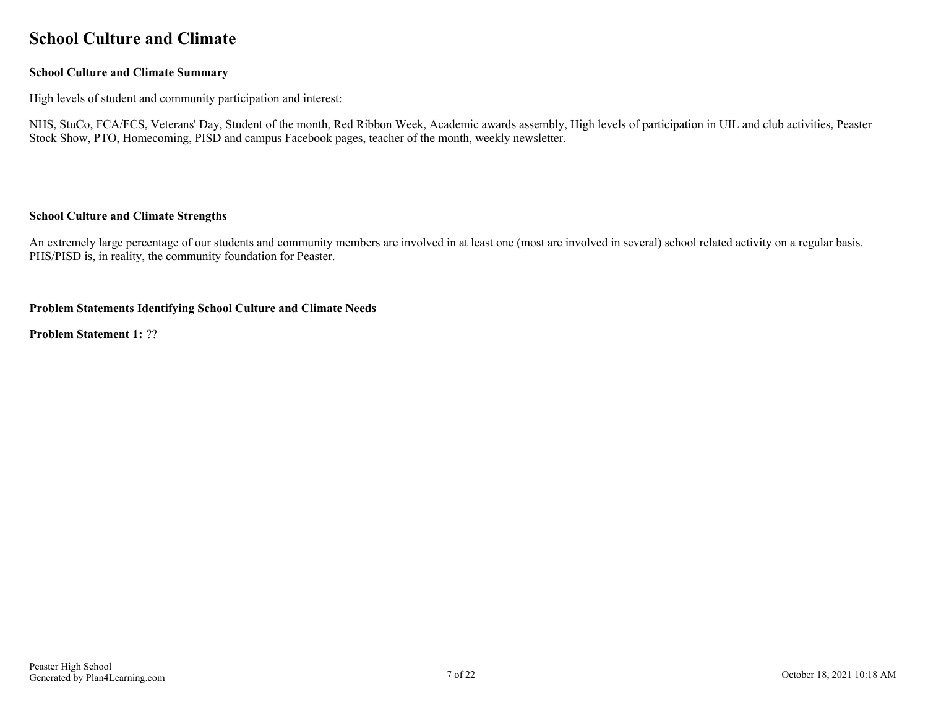### <span id="page-6-0"></span>**School Culture and Climate**

#### **School Culture and Climate Summary**

High levels of student and community participation and interest:

NHS, StuCo, FCA/FCS, Veterans' Day, Student of the month, Red Ribbon Week, Academic awards assembly, High levels of participation in UIL and club activities, Peaster Stock Show, PTO, Homecoming, PISD and campus Facebook pages, teacher of the month, weekly newsletter.

#### **School Culture and Climate Strengths**

An extremely large percentage of our students and community members are involved in at least one (most are involved in several) school related activity on a regular basis. PHS/PISD is, in reality, the community foundation for Peaster.

#### **Problem Statements Identifying School Culture and Climate Needs**

**Problem Statement 1:** ??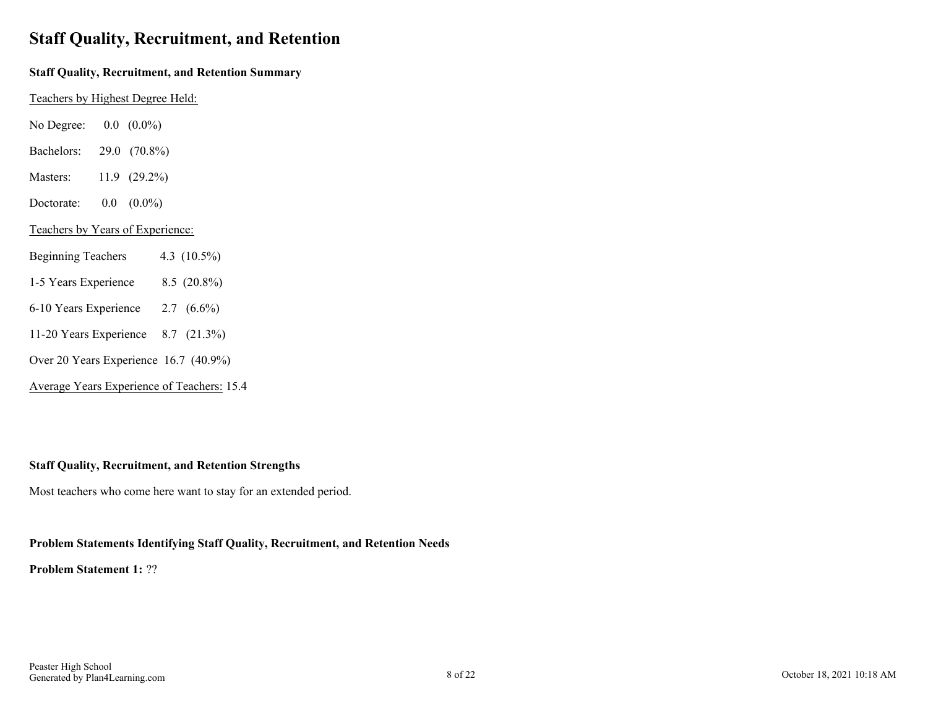### <span id="page-7-0"></span>**Staff Quality, Recruitment, and Retention**

#### **Staff Quality, Recruitment, and Retention Summary**

Teachers by Highest Degree Held:

- No Degree: 0.0 (0.0%)
- Bachelors: 29.0 (70.8%)
- Masters: 11.9 (29.2%)
- Doctorate: 0.0 (0.0%)

#### Teachers by Years of Experience:

- Beginning Teachers 4.3 (10.5%)
- 1-5 Years Experience 8.5 (20.8%)
- 6-10 Years Experience 2.7 (6.6%)
- 11-20 Years Experience 8.7 (21.3%)
- Over 20 Years Experience 16.7 (40.9%)
- Average Years Experience of Teachers: 15.4

#### **Staff Quality, Recruitment, and Retention Strengths**

Most teachers who come here want to stay for an extended period.

#### **Problem Statements Identifying Staff Quality, Recruitment, and Retention Needs**

**Problem Statement 1:** ??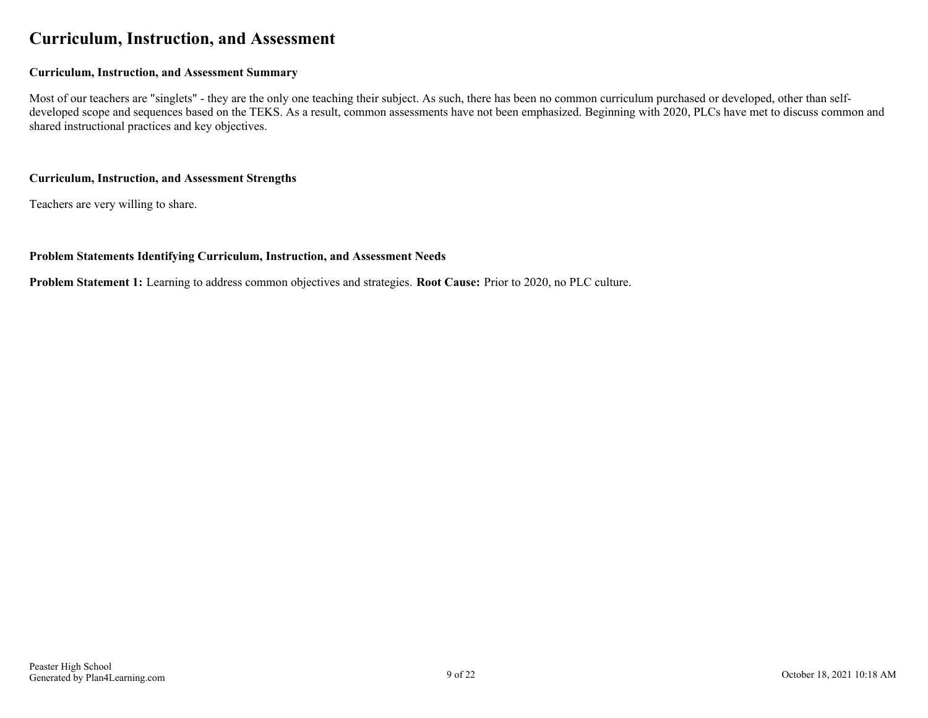### <span id="page-8-0"></span>**Curriculum, Instruction, and Assessment**

#### **Curriculum, Instruction, and Assessment Summary**

Most of our teachers are "singlets" - they are the only one teaching their subject. As such, there has been no common curriculum purchased or developed, other than selfdeveloped scope and sequences based on the TEKS. As a result, common assessments have not been emphasized. Beginning with 2020, PLCs have met to discuss common and shared instructional practices and key objectives.

#### **Curriculum, Instruction, and Assessment Strengths**

Teachers are very willing to share.

#### **Problem Statements Identifying Curriculum, Instruction, and Assessment Needs**

**Problem Statement 1:** Learning to address common objectives and strategies. **Root Cause:** Prior to 2020, no PLC culture.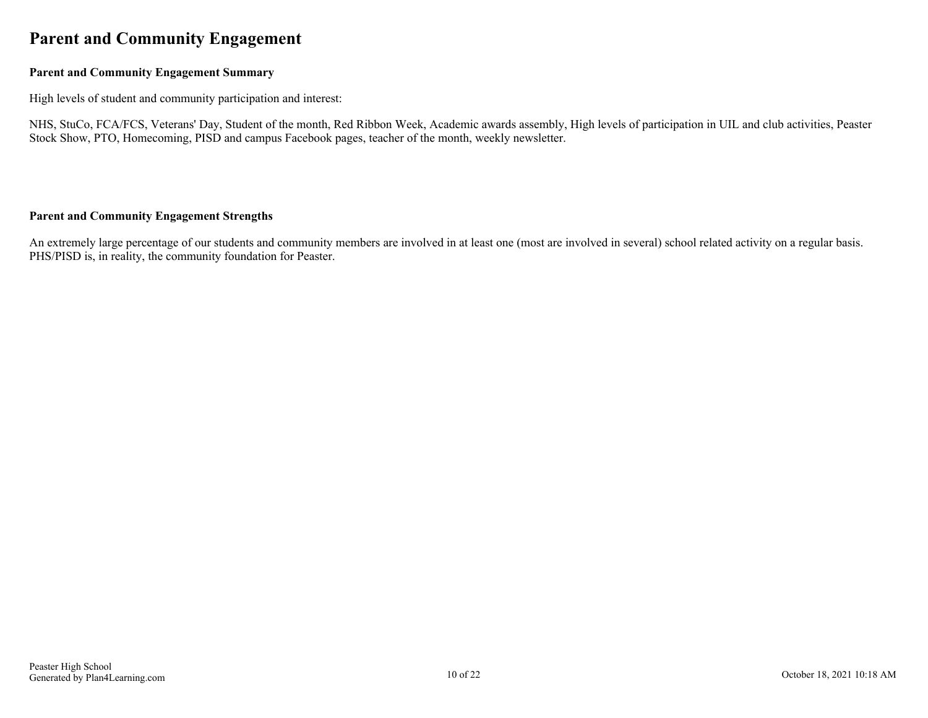### <span id="page-9-0"></span>**Parent and Community Engagement**

#### **Parent and Community Engagement Summary**

High levels of student and community participation and interest:

NHS, StuCo, FCA/FCS, Veterans' Day, Student of the month, Red Ribbon Week, Academic awards assembly, High levels of participation in UIL and club activities, Peaster Stock Show, PTO, Homecoming, PISD and campus Facebook pages, teacher of the month, weekly newsletter.

#### **Parent and Community Engagement Strengths**

An extremely large percentage of our students and community members are involved in at least one (most are involved in several) school related activity on a regular basis. PHS/PISD is, in reality, the community foundation for Peaster.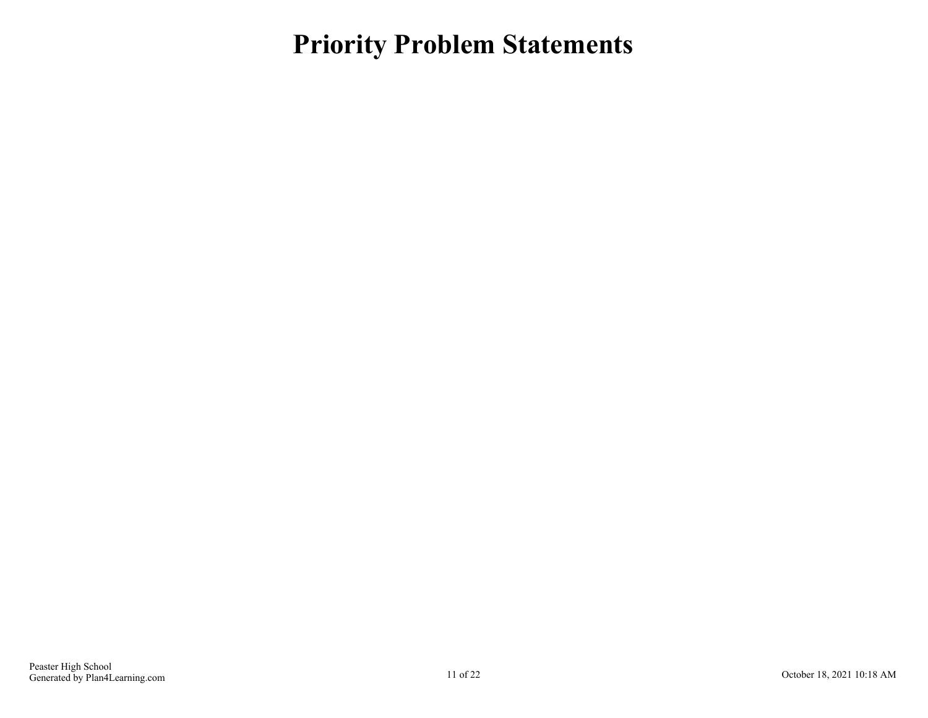### <span id="page-10-0"></span>**Priority Problem Statements**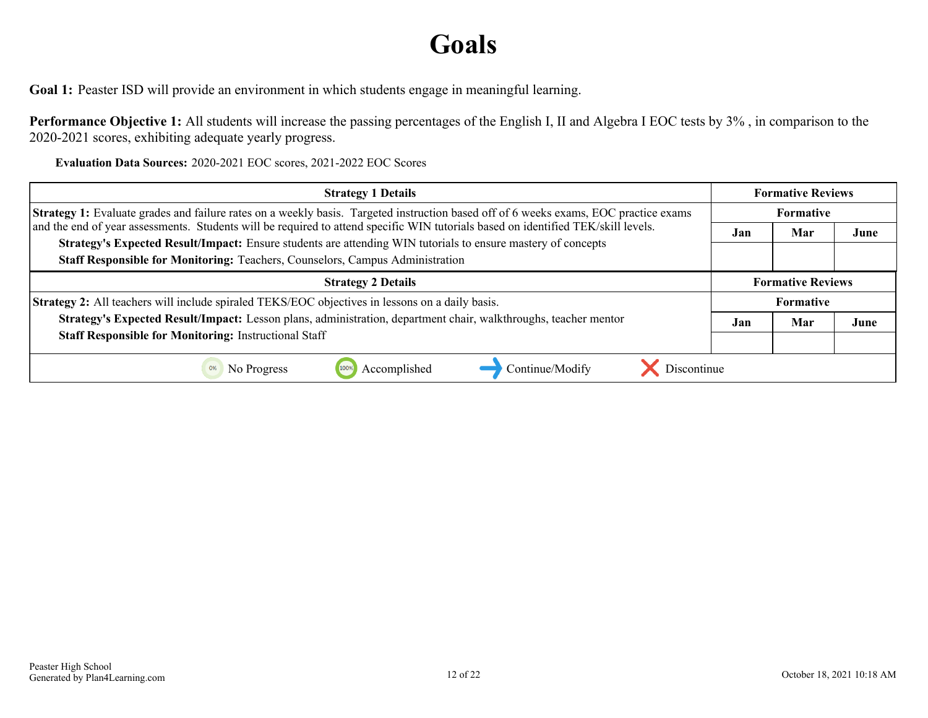## **Goals**

<span id="page-11-0"></span>Goal 1: Peaster ISD will provide an environment in which students engage in meaningful learning.

**Performance Objective 1:** All students will increase the passing percentages of the English I, II and Algebra I EOC tests by 3% , in comparison to the 2020-2021 scores, exhibiting adequate yearly progress.

**Evaluation Data Sources:** 2020-2021 EOC scores, 2021-2022 EOC Scores

| <b>Strategy 1 Details</b>                                                                                                                                                                     | <b>Formative Reviews</b> |                          |      |
|-----------------------------------------------------------------------------------------------------------------------------------------------------------------------------------------------|--------------------------|--------------------------|------|
| Strategy 1: Evaluate grades and failure rates on a weekly basis. Targeted instruction based off of 6 weeks exams, EOC practice exams                                                          | Formative                |                          |      |
| and the end of year assessments. Students will be required to attend specific WIN tutorials based on identified TEK/skill levels.                                                             |                          | Mar                      | June |
| Strategy's Expected Result/Impact: Ensure students are attending WIN tutorials to ensure mastery of concepts<br>Staff Responsible for Monitoring: Teachers, Counselors, Campus Administration |                          |                          |      |
| <b>Strategy 2 Details</b>                                                                                                                                                                     |                          | <b>Formative Reviews</b> |      |
| Strategy 2: All teachers will include spiraled TEKS/EOC objectives in lessons on a daily basis.                                                                                               |                          | <b>Formative</b>         |      |
| Strategy's Expected Result/Impact: Lesson plans, administration, department chair, walkthroughs, teacher mentor                                                                               |                          | Mar                      | June |
| <b>Staff Responsible for Monitoring: Instructional Staff</b>                                                                                                                                  |                          |                          |      |
| Discontinue<br>Accomplished<br>Continue/Modify<br>No Progress<br>0%                                                                                                                           |                          |                          |      |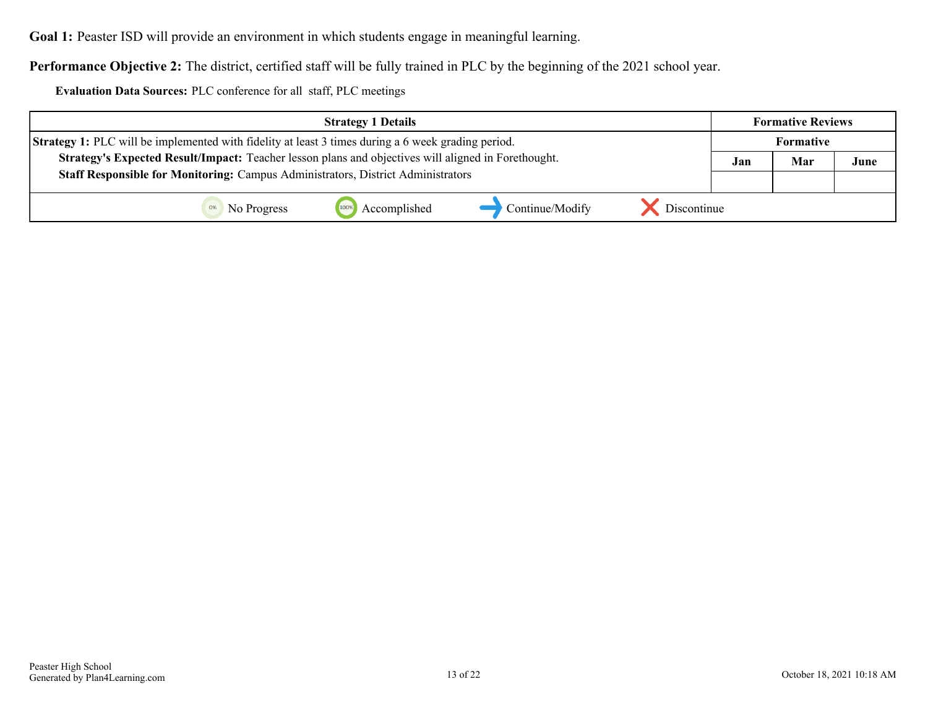**Goal 1:** Peaster ISD will provide an environment in which students engage in meaningful learning.

**Performance Objective 2:** The district, certified staff will be fully trained in PLC by the beginning of the 2021 school year.

**Evaluation Data Sources:** PLC conference for all staff, PLC meetings

| <b>Strategy 1 Details</b>                                                                                 |                 |             |     | <b>Formative Reviews</b> |      |
|-----------------------------------------------------------------------------------------------------------|-----------------|-------------|-----|--------------------------|------|
| <b>Strategy 1:</b> PLC will be implemented with fidelity at least 3 times during a 6 week grading period. |                 |             |     | <b>Formative</b>         |      |
| Strategy's Expected Result/Impact: Teacher lesson plans and objectives will aligned in Forethought.       |                 |             | Jan | Mar                      | June |
| Staff Responsible for Monitoring: Campus Administrators, District Administrators                          |                 |             |     |                          |      |
| Accomplished<br>No Progress                                                                               | Continue/Modify | Discontinue |     |                          |      |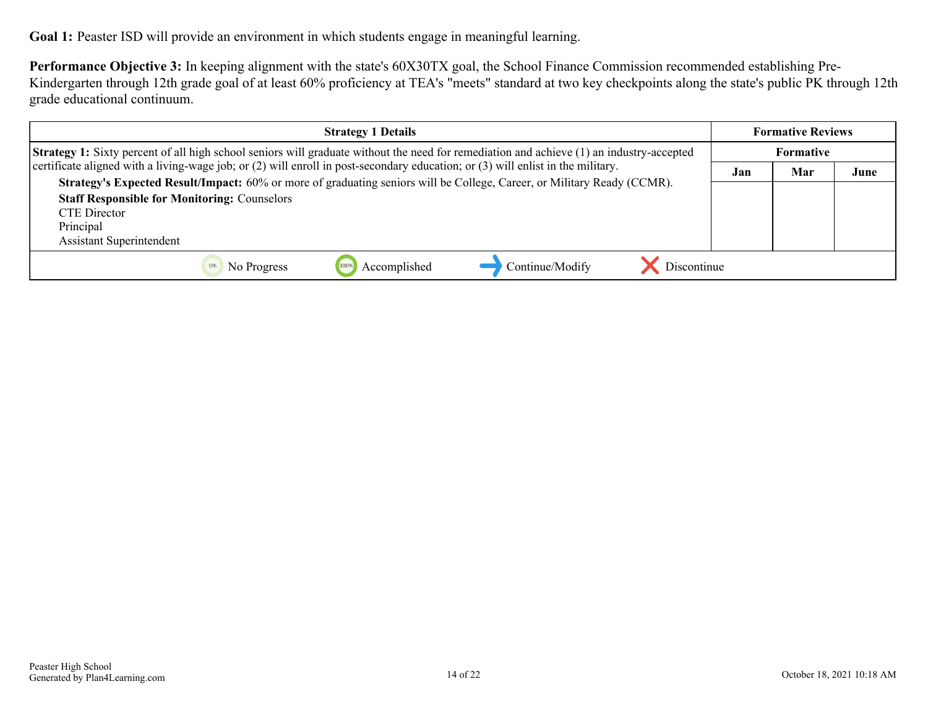Goal 1: Peaster ISD will provide an environment in which students engage in meaningful learning.

**Performance Objective 3:** In keeping alignment with the state's 60X30TX goal, the School Finance Commission recommended establishing Pre-Kindergarten through 12th grade goal of at least 60% proficiency at TEA's "meets" standard at two key checkpoints along the state's public PK through 12th grade educational continuum.

| <b>Strategy 1 Details</b>                                                                                                                                                                                                                      |  | <b>Formative Reviews</b> |      |
|------------------------------------------------------------------------------------------------------------------------------------------------------------------------------------------------------------------------------------------------|--|--------------------------|------|
| <b>Strategy 1:</b> Sixty percent of all high school seniors will graduate without the need for remediation and achieve (1) an industry-accepted                                                                                                |  | Formative                |      |
| certificate aligned with a living-wage job; or (2) will enroll in post-secondary education; or (3) will enlist in the military.                                                                                                                |  | Mar                      | June |
| Strategy's Expected Result/Impact: 60% or more of graduating seniors will be College, Career, or Military Ready (CCMR).<br><b>Staff Responsible for Monitoring: Counselors</b><br>CTE Director<br>Principal<br><b>Assistant Superintendent</b> |  |                          |      |
| Discontinue<br>Continue/Modify<br>Accomplished<br>No Progress<br>0%                                                                                                                                                                            |  |                          |      |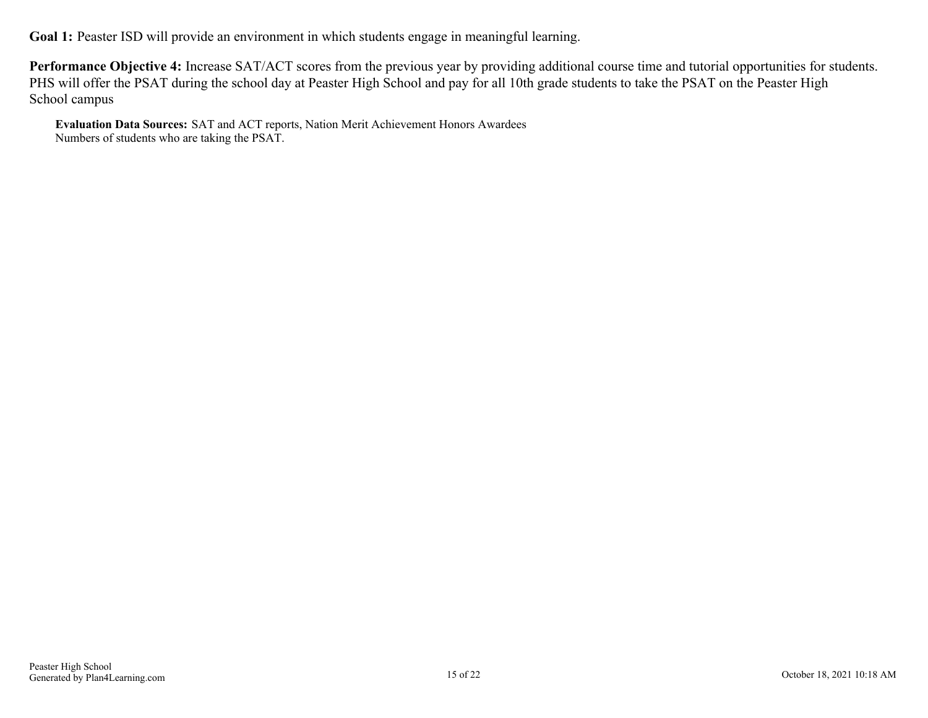Goal 1: Peaster ISD will provide an environment in which students engage in meaningful learning.

**Performance Objective 4:** Increase SAT/ACT scores from the previous year by providing additional course time and tutorial opportunities for students. PHS will offer the PSAT during the school day at Peaster High School and pay for all 10th grade students to take the PSAT on the Peaster High School campus

**Evaluation Data Sources:** SAT and ACT reports, Nation Merit Achievement Honors Awardees Numbers of students who are taking the PSAT.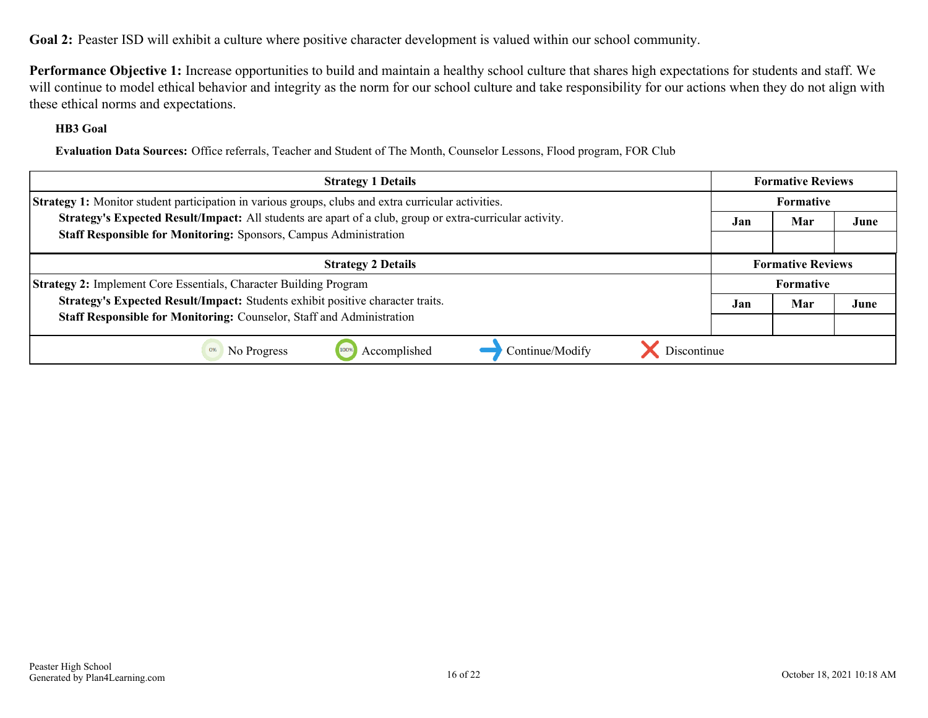<span id="page-15-0"></span>**Goal 2:** Peaster ISD will exhibit a culture where positive character development is valued within our school community.

**Performance Objective 1:** Increase opportunities to build and maintain a healthy school culture that shares high expectations for students and staff. We will continue to model ethical behavior and integrity as the norm for our school culture and take responsibility for our actions when they do not align with these ethical norms and expectations.

#### **HB3 Goal**

**Evaluation Data Sources:** Office referrals, Teacher and Student of The Month, Counselor Lessons, Flood program, FOR Club

| <b>Strategy 1 Details</b>                                                                                  | <b>Formative Reviews</b> |                          |      |  |  |
|------------------------------------------------------------------------------------------------------------|--------------------------|--------------------------|------|--|--|
| <b>Strategy 1:</b> Monitor student participation in various groups, clubs and extra curricular activities. |                          | Formative                |      |  |  |
| Strategy's Expected Result/Impact: All students are apart of a club, group or extra-curricular activity.   |                          | Mar                      | June |  |  |
| <b>Staff Responsible for Monitoring: Sponsors, Campus Administration</b>                                   |                          |                          |      |  |  |
| <b>Strategy 2 Details</b>                                                                                  |                          | <b>Formative Reviews</b> |      |  |  |
| <b>Strategy 2:</b> Implement Core Essentials, Character Building Program                                   | <b>Formative</b>         |                          |      |  |  |
| Strategy's Expected Result/Impact: Students exhibit positive character traits.                             |                          | Mar                      | June |  |  |
| Staff Responsible for Monitoring: Counselor, Staff and Administration                                      |                          |                          |      |  |  |
| Discontinue<br>Accomplished<br>Continue/Modify<br>No Progress<br>0%                                        |                          |                          |      |  |  |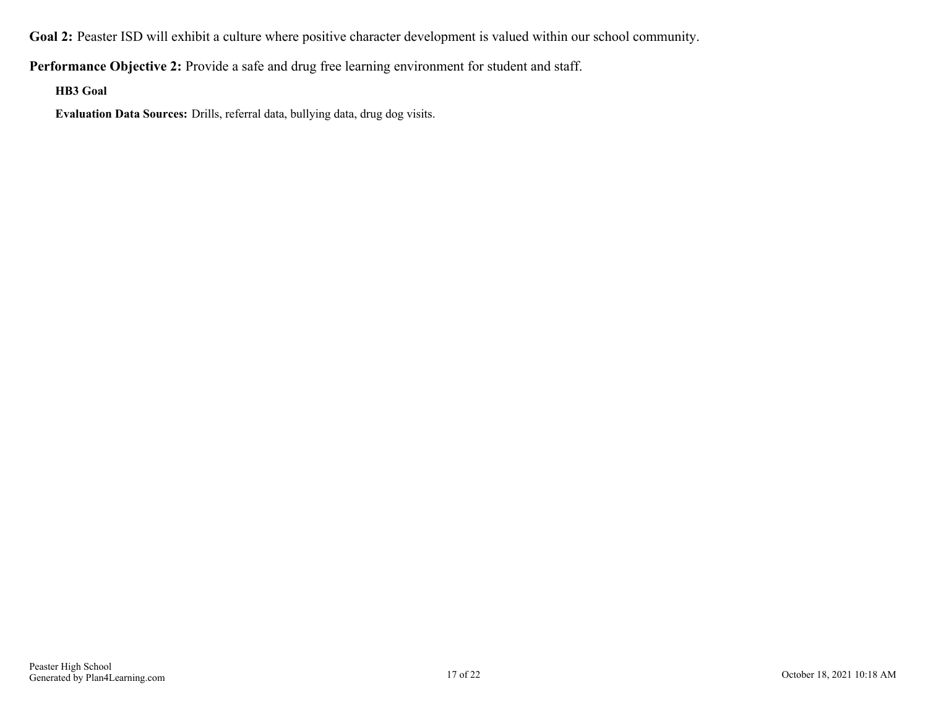**Goal 2:** Peaster ISD will exhibit a culture where positive character development is valued within our school community.

**Performance Objective 2:** Provide a safe and drug free learning environment for student and staff.

**HB3 Goal**

**Evaluation Data Sources:** Drills, referral data, bullying data, drug dog visits.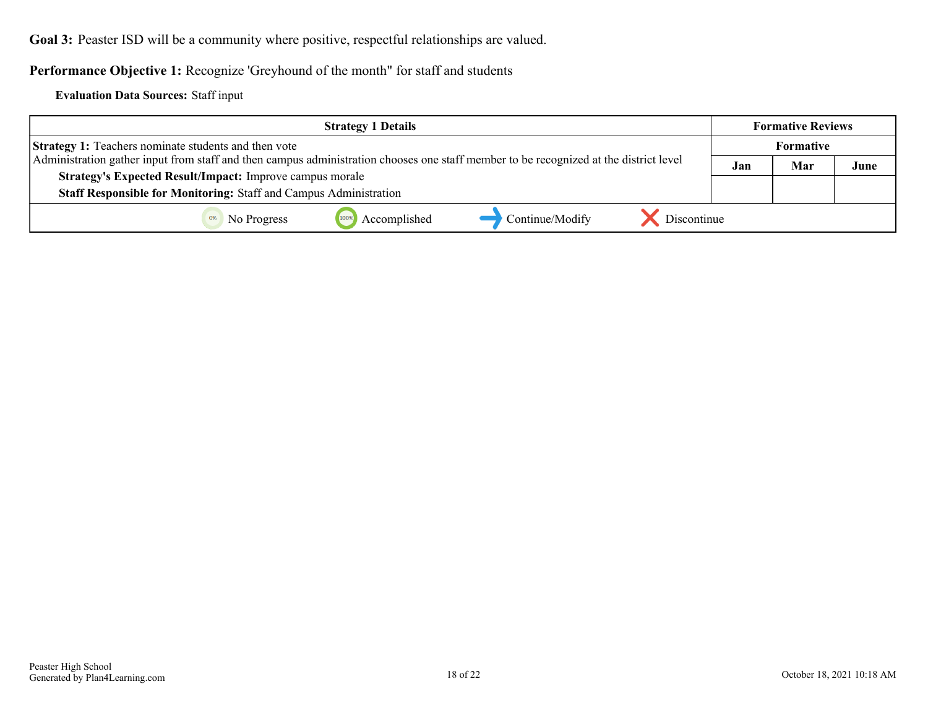<span id="page-17-0"></span>Goal 3: Peaster ISD will be a community where positive, respectful relationships are valued.

**Performance Objective 1:** Recognize 'Greyhound of the month" for staff and students

**Evaluation Data Sources:** Staff input

| <b>Strategy 1 Details</b>                                                                                                                                                                            |              |                 | <b>Formative Reviews</b> |     |      |  |
|------------------------------------------------------------------------------------------------------------------------------------------------------------------------------------------------------|--------------|-----------------|--------------------------|-----|------|--|
| <b>Strategy 1:</b> Teachers nominate students and then vote<br>Administration gather input from staff and then campus administration chooses one staff member to be recognized at the district level |              |                 | Formative                |     |      |  |
|                                                                                                                                                                                                      |              |                 | Jan                      | Mar | June |  |
| <b>Strategy's Expected Result/Impact:</b> Improve campus morale                                                                                                                                      |              |                 |                          |     |      |  |
| Staff Responsible for Monitoring: Staff and Campus Administration                                                                                                                                    |              |                 |                          |     |      |  |
| 100%<br>No Progress                                                                                                                                                                                  | Accomplished | Continue/Modify | Discontinue              |     |      |  |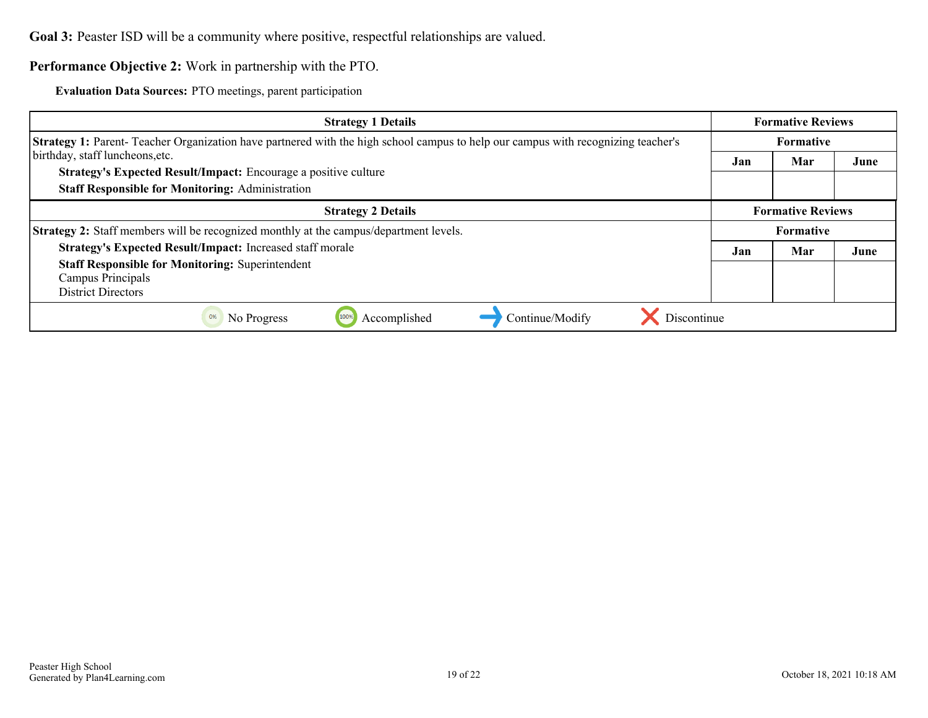**Goal 3:** Peaster ISD will be a community where positive, respectful relationships are valued.

#### **Performance Objective 2:** Work in partnership with the PTO.

**Evaluation Data Sources:** PTO meetings, parent participation

| <b>Strategy 1 Details</b>                                                                                                               |                  | <b>Formative Reviews</b> |      |  |
|-----------------------------------------------------------------------------------------------------------------------------------------|------------------|--------------------------|------|--|
| <b>Strategy 1:</b> Parent-Teacher Organization have partnered with the high school campus to help our campus with recognizing teacher's | <b>Formative</b> |                          |      |  |
| birthday, staff luncheons, etc.                                                                                                         | Jan              | Mar                      | June |  |
| Strategy's Expected Result/Impact: Encourage a positive culture                                                                         |                  |                          |      |  |
| <b>Staff Responsible for Monitoring: Administration</b>                                                                                 |                  |                          |      |  |
| <b>Strategy 2 Details</b>                                                                                                               |                  | <b>Formative Reviews</b> |      |  |
| <b>Strategy 2:</b> Staff members will be recognized monthly at the campus/department levels.                                            |                  | <b>Formative</b>         |      |  |
| Strategy's Expected Result/Impact: Increased staff morale                                                                               | Jan              | Mar                      | June |  |
| <b>Staff Responsible for Monitoring: Superintendent</b>                                                                                 |                  |                          |      |  |
| Campus Principals                                                                                                                       |                  |                          |      |  |
| <b>District Directors</b>                                                                                                               |                  |                          |      |  |
| Discontinue<br>Accomplished<br>Continue/Modify<br>No Progress<br>0%<br>100%                                                             |                  |                          |      |  |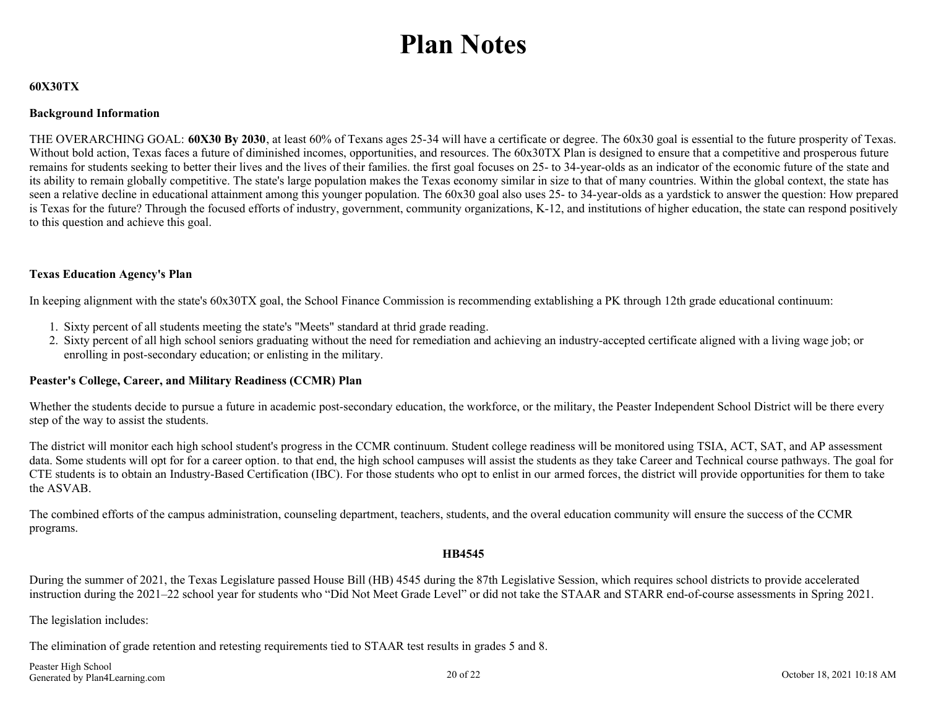## **Plan Notes**

#### <span id="page-19-0"></span>**60X30TX**

#### **Background Information**

THE OVERARCHING GOAL: **60X30 By 2030**, at least 60% of Texans ages 25-34 will have a certificate or degree. The 60x30 goal is essential to the future prosperity of Texas. Without bold action, Texas faces a future of diminished incomes, opportunities, and resources. The 60x30TX Plan is designed to ensure that a competitive and prosperous future remains for students seeking to better their lives and the lives of their families. the first goal focuses on 25- to 34-year-olds as an indicator of the economic future of the state and its ability to remain globally competitive. The state's large population makes the Texas economy similar in size to that of many countries. Within the global context, the state has seen a relative decline in educational attainment among this younger population. The 60x30 goal also uses 25- to 34-year-olds as a yardstick to answer the question: How prepared is Texas for the future? Through the focused efforts of industry, government, community organizations, K-12, and institutions of higher education, the state can respond positively to this question and achieve this goal.

#### **Texas Education Agency's Plan**

In keeping alignment with the state's 60x30TX goal, the School Finance Commission is recommending extablishing a PK through 12th grade educational continuum:

- 1. Sixty percent of all students meeting the state's "Meets" standard at thrid grade reading.
- 2. Sixty percent of all high school seniors graduating without the need for remediation and achieving an industry-accepted certificate aligned with a living wage job; or enrolling in post-secondary education; or enlisting in the military.

#### **Peaster's College, Career, and Military Readiness (CCMR) Plan**

Whether the students decide to pursue a future in academic post-secondary education, the workforce, or the military, the Peaster Independent School District will be there every step of the way to assist the students.

The district will monitor each high school student's progress in the CCMR continuum. Student college readiness will be monitored using TSIA, ACT, SAT, and AP assessment data. Some students will opt for for a career option, to that end, the high school campuses will assist the students as they take Career and Technical course pathways. The goal for CTE students is to obtain an Industry-Based Certification (IBC). For those students who opt to enlist in our armed forces, the district will provide opportunities for them to take the ASVAB.

The combined efforts of the campus administration, counseling department, teachers, students, and the overal education community will ensure the success of the CCMR programs.

#### **HB4545**

During the summer of 2021, the Texas Legislature passed House Bill (HB) 4545 during the 87th Legislative Session, which requires school districts to provide accelerated instruction during the 2021–22 school year for students who "Did Not Meet Grade Level" or did not take the STAAR and STARR end-of-course assessments in Spring 2021.

The legislation includes:

The elimination of grade retention and retesting requirements tied to STAAR test results in grades 5 and 8.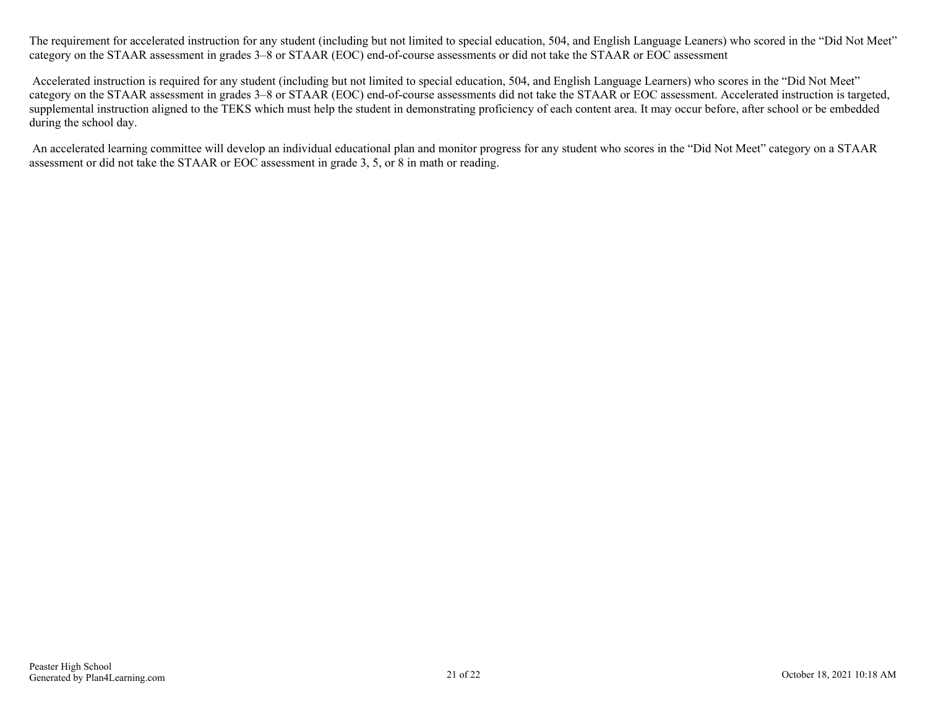The requirement for accelerated instruction for any student (including but not limited to special education, 504, and English Language Leaners) who scored in the "Did Not Meet" category on the STAAR assessment in grades 3–8 or STAAR (EOC) end-of-course assessments or did not take the STAAR or EOC assessment

 Accelerated instruction is required for any student (including but not limited to special education, 504, and English Language Learners) who scores in the "Did Not Meet" category on the STAAR assessment in grades 3–8 or STAAR (EOC) end-of-course assessments did not take the STAAR or EOC assessment. Accelerated instruction is targeted, supplemental instruction aligned to the TEKS which must help the student in demonstrating proficiency of each content area. It may occur before, after school or be embedded during the school day.

 An accelerated learning committee will develop an individual educational plan and monitor progress for any student who scores in the "Did Not Meet" category on a STAAR assessment or did not take the STAAR or EOC assessment in grade 3, 5, or 8 in math or reading.